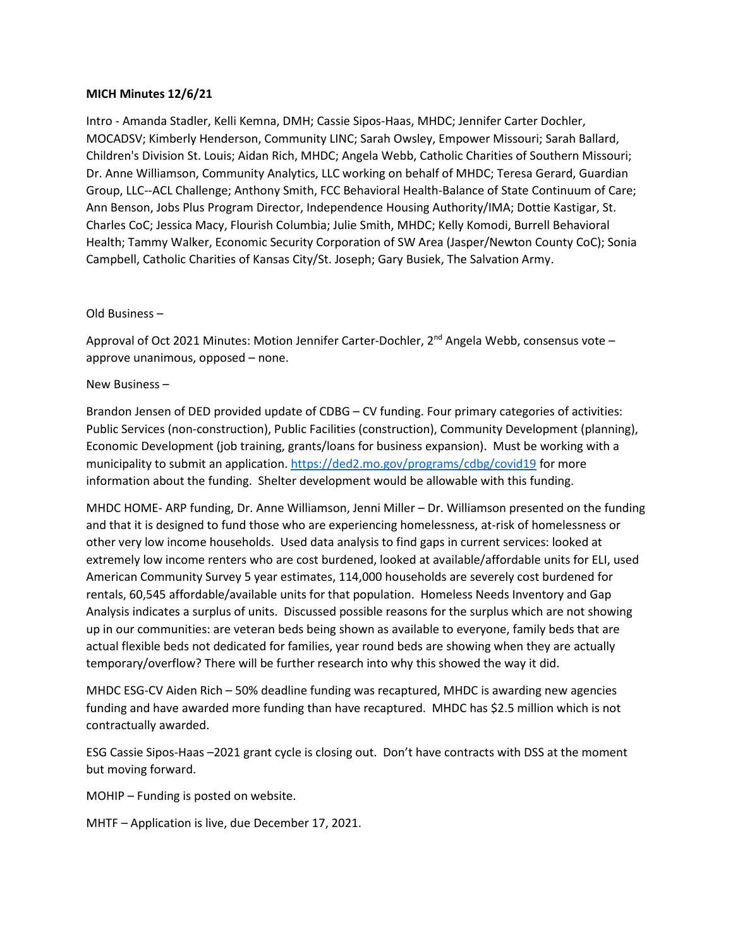## **MICH Minutes 12/6/21**

Intro - Amanda Stadler, Kelli Kemna, DMH; Cassie Sipos-Haas, MHDC; Jennifer Carter Dochler, MOCADSV; Kimberly Henderson, Community LINC; Sarah Owsley, Empower Missouri; Sarah Ballard, Children's Division St. Louis; Aidan Rich, MHDC; Angela Webb, Catholic Charities of Southern Missouri; Dr. Anne Williamson, Community Analytics, LLC working on behalf of MHDC; Teresa Gerard, Guardian Group, LLC--ACL Challenge; Anthony Smith, FCC Behavioral Health-Balance of State Continuum of Care; Ann Benson, Jobs Plus Program Director, Independence Housing Authority/IMA; Dottie Kastigar, St. Charles CoC; Jessica Macy, Flourish Columbia; Julie Smith, MHDC; Kelly Komodi, Burrell Behavioral Health; Tammy Walker, Economic Security Corporation of SW Area (Jasper/Newton County CoC); Sonia Campbell, Catholic Charities of Kansas City/St. Joseph; Gary Busiek, The Salvation Army.

## Old Business –

Approval of Oct 2021 Minutes: Motion Jennifer Carter-Dochler,  $2^{nd}$  Angela Webb, consensus vote – approve unanimous, opposed – none.

## New Business –

Brandon Jensen of DED provided update of CDBG – CV funding. Four primary categories of activities: Public Services (non-construction), Public Facilities (construction), Community Development (planning), Economic Development (job training, grants/loans for business expansion). Must be working with a municipality to submit an application.<https://ded2.mo.gov/programs/cdbg/covid19> for more information about the funding. Shelter development would be allowable with this funding.

MHDC HOME- ARP funding, Dr. Anne Williamson, Jenni Miller – Dr. Williamson presented on the funding and that it is designed to fund those who are experiencing homelessness, at-risk of homelessness or other very low income households. Used data analysis to find gaps in current services: looked at extremely low income renters who are cost burdened, looked at available/affordable units for ELI, used American Community Survey 5 year estimates, 114,000 households are severely cost burdened for rentals, 60,545 affordable/available units for that population. Homeless Needs Inventory and Gap Analysis indicates a surplus of units. Discussed possible reasons for the surplus which are not showing up in our communities: are veteran beds being shown as available to everyone, family beds that are actual flexible beds not dedicated for families, year round beds are showing when they are actually temporary/overflow? There will be further research into why this showed the way it did.

MHDC ESG-CV Aiden Rich – 50% deadline funding was recaptured, MHDC is awarding new agencies funding and have awarded more funding than have recaptured. MHDC has \$2.5 million which is not contractually awarded.

ESG Cassie Sipos-Haas –2021 grant cycle is closing out. Don't have contracts with DSS at the moment but moving forward.

MOHIP – Funding is posted on website.

MHTF – Application is live, due December 17, 2021.